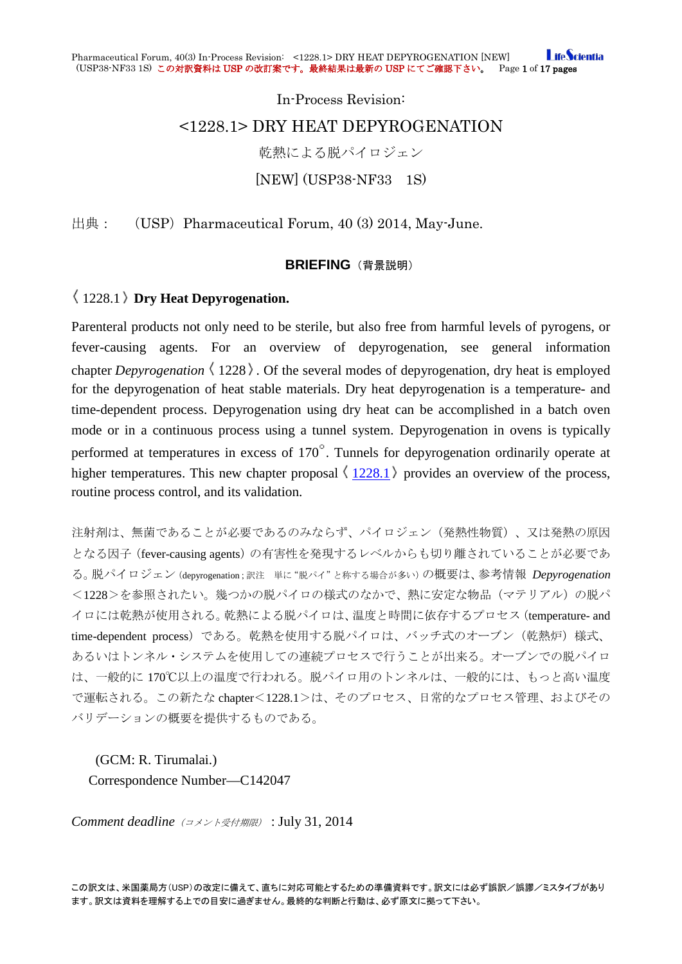**I** ifeScientia Pharmaceutical Forum, 40(3) In-Process Revision: <1228.1> DRY HEAT DEPYROGENATION [NEW] (USP38-NF33 1S) この対訳資料は USP の改訂案です。最終結果は最新の USP にてご確認下さい。 Page 1 of 17 pages

> In-Process Revision: <1228.1> DRY HEAT DEPYROGENATION 乾熱による脱パイロジェン [NEW] (USP38-NF33 1S)

出典:  $(USP)$  Pharmaceutical Forum, 40 (3) 2014, May-June.

## **BRIEFING** (背景説明)

# 1228.1 **Dry Heat Depyrogenation.**

Parenteral products not only need to be sterile, but also free from harmful levels of pyrogens, or fever-causing agents. For an overview of depyrogenation, see general information chapter *Depyrogenation*  $\langle 1228 \rangle$ . Of the several modes of depyrogenation, dry heat is employed for the depyrogenation of heat stable materials. Dry heat depyrogenation is a temperature- and time-dependent process. Depyrogenation using dry heat can be accomplished in a batch oven mode or in a continuous process using a tunnel system. Depyrogenation in ovens is typically performed at temperatures in excess of  $170^\circ$ . Tunnels for depyrogenation ordinarily operate at higher temperatures. This new chapter proposal  $\langle 1228.1 \rangle$  $\langle 1228.1 \rangle$  $\langle 1228.1 \rangle$  provides an overview of the process, routine process control, and its validation.

注射剤は、無菌であることが必要であるのみならず、パイロジェン(発熱性物質)、又は発熱の原因 となる因子(fever-causing agents)の有害性を発現するレベルからも切り離されていることが必要であ る。脱パイロジェン(depyrogenation;訳注 単に"脱パイ"と称する場合が多い)の概要は、参考情報 *Depyrogenation* <1228>を参照されたい。幾つかの脱パイロの様式のなかで、熱に安定な物品(マテリアル)の脱パ イロには乾熱が使用される。乾熱による脱パイロは、温度と時間に依存するプロセス(temperature- and time-dependent process)である。乾熱を使用する脱パイロは、バッチ式のオーブン(乾熱炉)様式、 あるいはトンネル・システムを使用しての連続プロセスで行うことが出来る。オーブンでの脱パイロ は、一般的に 170℃以上の温度で行われる。脱パイロ用のトンネルは、一般的には、もっと高い温度 で運転される。この新たな chapter<1228.1>は、そのプロセス、日常的なプロセス管理、およびその バリデーションの概要を提供するものである。

(GCM: R. Tirumalai.)

Correspondence Number—C142047

*Comment deadline*(コメント受付期限) : July 31, 2014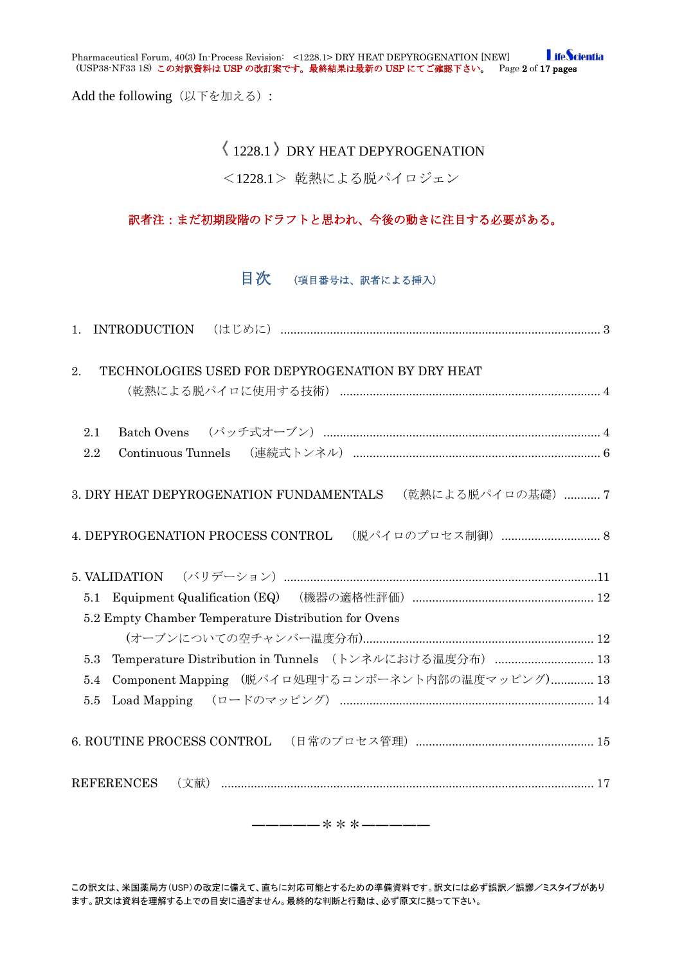**LifeScientia** Pharmaceutical Forum, 40(3) In-Process Revision: <1228.1> DRY HEAT DEPYROGENATION [NEW] (USP38-NF33 1S) この対訳資料は USP の改訂案です。最終結果は最新の USP にてご確認下さい。 Page 2 of 17 pages

Add the following (以下を加える):

# $\langle$  1228.1  $\rangle$  DRY HEAT DEPYROGENATION

<1228.1> 乾熱による脱パイロジェン

# 訳者注:まだ初期段階のドラフトと思われ、今後の動きに注目する必要がある。

# 目次 (項目番号は、訳者による挿入)

| TECHNOLOGIES USED FOR DEPYROGENATION BY DRY HEAT<br>2.        |  |
|---------------------------------------------------------------|--|
| 2.1<br>2.2                                                    |  |
| 3. DRY HEAT DEPYROGENATION FUNDAMENTALS (乾熱による脱パイロの基礎) 7      |  |
| 4. DEPYROGENATION PROCESS CONTROL (脱パイロのプロセス制御)  8            |  |
|                                                               |  |
|                                                               |  |
|                                                               |  |
| 5.2 Empty Chamber Temperature Distribution for Ovens          |  |
|                                                               |  |
| Temperature Distribution in Tunnels (トンネルにおける温度分布)  13<br>5.3 |  |
| Component Mapping (脱パイロ処理するコンポーネント内部の温度マッピング) 13<br>5.4       |  |
| 5.5                                                           |  |
|                                                               |  |

―――――\*\*\*―――――

この訳文は、米国薬局方(USP)の改定に備えて、直ちに対応可能とするための準備資料です。訳文には必ず誤訳/誤謬/ミスタイプがあり ます。訳文は資料を理解する上での目安に過ぎません。最終的な判断と行動は、必ず原文に拠って下さい。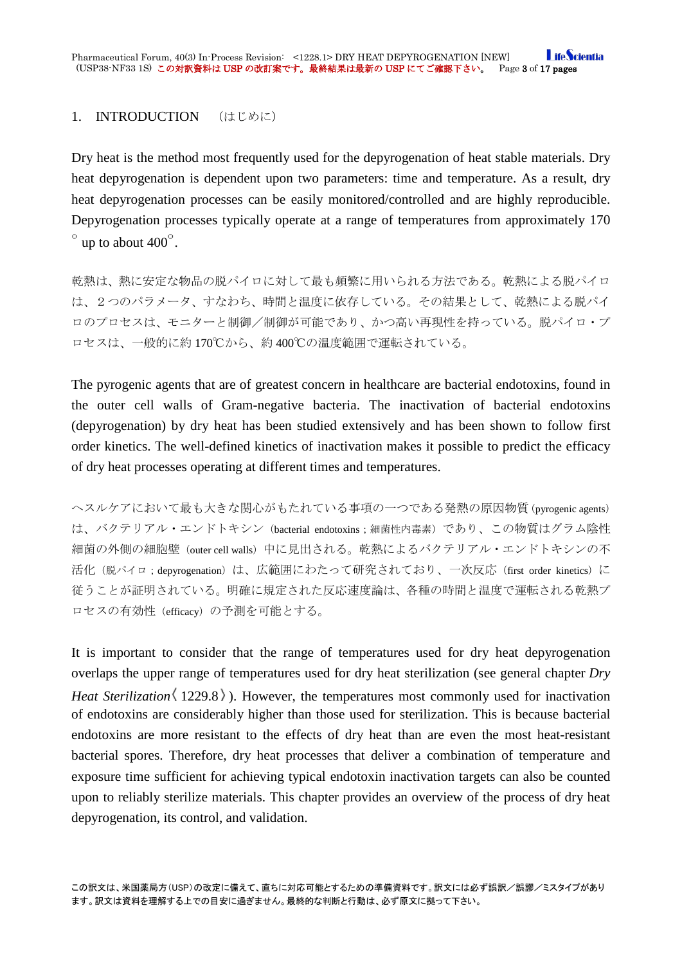## <span id="page-2-0"></span>1. INTRODUCTION (はじめに)

Dry heat is the method most frequently used for the depyrogenation of heat stable materials. Dry heat depyrogenation is dependent upon two parameters: time and temperature. As a result, dry heat depyrogenation processes can be easily monitored/controlled and are highly reproducible. Depyrogenation processes typically operate at a range of temperatures from approximately 170  $\degree$  up to about 400 $\degree$ .

乾熱は、熱に安定な物品の脱パイロに対して最も頻繁に用いられる方法である。乾熱による脱パイロ は、2つのパラメータ、すなわち、時間と温度に依存している。その結果として、乾熱による脱パイ ロのプロセスは、モニターと制御/制御が可能であり、かつ高い再現性を持っている。脱パイロ・プ ロセスは、一般的に約 170℃から、約 400℃の温度範囲で運転されている。

The pyrogenic agents that are of greatest concern in healthcare are bacterial endotoxins, found in the outer cell walls of Gram-negative bacteria. The inactivation of bacterial endotoxins (depyrogenation) by dry heat has been studied extensively and has been shown to follow first order kinetics. The well-defined kinetics of inactivation makes it possible to predict the efficacy of dry heat processes operating at different times and temperatures.

ヘスルケアにおいて最も大きな関心がもたれている事項の一つである発熱の原因物質(pyrogenic agents) は、バクテリアル・エンドトキシン (bacterial endotoxins;細菌性内毒素)であり、この物質はグラム陰性 細菌の外側の細胞壁(outer cell walls)中に見出される。乾熱によるバクテリアル・エンドトキシンの不 活化(脱パイロ;depyrogenation)は、広範囲にわたって研究されており、一次反応(first order kinetics)に 従うことが証明されている。明確に規定された反応速度論は、各種の時間と温度で運転される乾熱プ ロセスの有効性(efficacy)の予測を可能とする。

It is important to consider that the range of temperatures used for dry heat depyrogenation overlaps the upper range of temperatures used for dry heat sterilization (see general chapter *Dry Heat Sterilization* (1229.8). However, the temperatures most commonly used for inactivation of endotoxins are considerably higher than those used for sterilization. This is because bacterial endotoxins are more resistant to the effects of dry heat than are even the most heat-resistant bacterial spores. Therefore, dry heat processes that deliver a combination of temperature and exposure time sufficient for achieving typical endotoxin inactivation targets can also be counted upon to reliably sterilize materials. This chapter provides an overview of the process of dry heat depyrogenation, its control, and validation.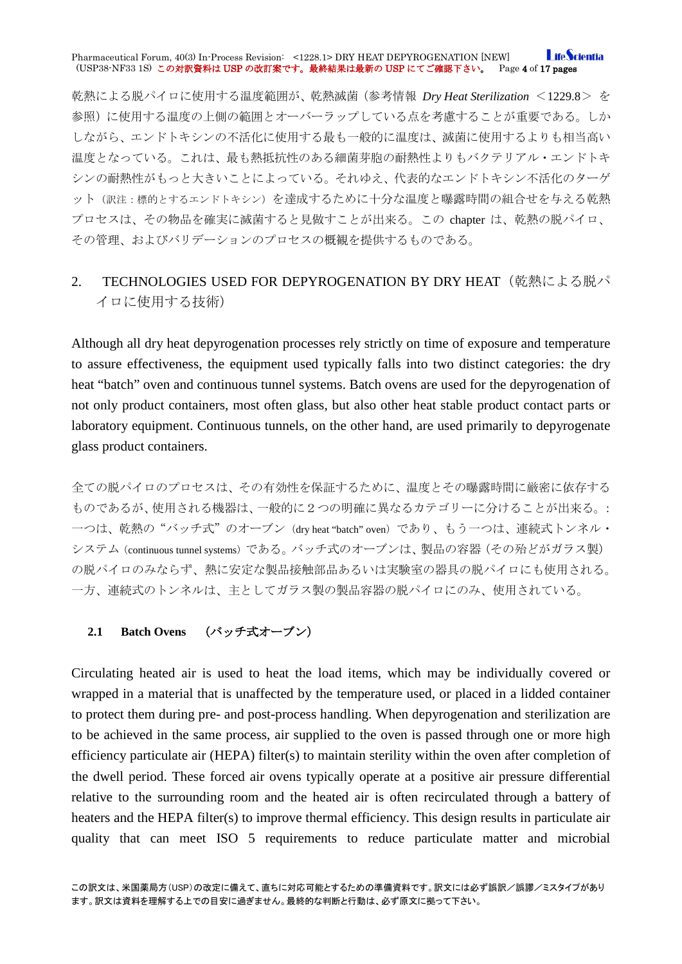#### **I** ifeScientia Pharmaceutical Forum, 40(3) In-Process Revision: <1228.1> DRY HEAT DEPYROGENATION [NEW] (USP38-NF33 1S) この対訳資料は USP の改訂案です。最終結果は最新の USP にてご確認下さい。 Page 4 of 17 pages

乾熱による脱パイロに使用する温度範囲が、乾熱滅菌(参考情報 *Dry Heat Sterilization* <1229.8> を 参照)に使用する温度の上側の範囲とオーバーラップしている点を考慮することが重要である。しか しながら、エンドトキシンの不活化に使用する最も一般的に温度は、滅菌に使用するよりも相当高い 温度となっている。これは、最も熱抵抗性のある細菌芽胞の耐熱性よりもバクテリアル・エンドトキ シンの耐熱性がもっと大きいことによっている。それゆえ、代表的なエンドトキシン不活化のターゲ ット(訳注:標的とするエンドトキシン)を達成するために十分な温度と曝露時間の組合せを与える乾熱 プロセスは、その物品を確実に滅菌すると見做すことが出来る。この chapter は、乾熱の脱パイロ、 その管理、およびバリデーションのプロセスの概観を提供するものである。

# <span id="page-3-0"></span>2. TECHNOLOGIES USED FOR DEPYROGENATION BY DRY HEAT (乾熱による脱パ イロに使用する技術)

Although all dry heat depyrogenation processes rely strictly on time of exposure and temperature to assure effectiveness, the equipment used typically falls into two distinct categories: the dry heat "batch" oven and continuous tunnel systems. Batch ovens are used for the depyrogenation of not only product containers, most often glass, but also other heat stable product contact parts or laboratory equipment. Continuous tunnels, on the other hand, are used primarily to depyrogenate glass product containers.

全ての脱パイロのプロセスは、その有効性を保証するために、温度とその曝露時間に厳密に依存する ものであるが、使用される機器は、一般的に2つの明確に異なるカテゴリーに分けることが出来る。: 一つは、乾熱の"バッチ式"のオーブン(dry heat "batch" oven)であり、もう一つは、連続式トンネル・ システム(continuous tunnel systems)である。バッチ式のオーブンは、製品の容器(その殆どがガラス製) の脱パイロのみならず、熱に安定な製品接触部品あるいは実験室の器具の脱パイロにも使用される。 一方、連続式のトンネルは、主としてガラス製の製品容器の脱パイロにのみ、使用されている。

### <span id="page-3-1"></span>**2.1 Batch Ovens** (バッチ式オーブン)

Circulating heated air is used to heat the load items, which may be individually covered or wrapped in a material that is unaffected by the temperature used, or placed in a lidded container to protect them during pre- and post-process handling. When depyrogenation and sterilization are to be achieved in the same process, air supplied to the oven is passed through one or more high efficiency particulate air (HEPA) filter(s) to maintain sterility within the oven after completion of the dwell period. These forced air ovens typically operate at a positive air pressure differential relative to the surrounding room and the heated air is often recirculated through a battery of heaters and the HEPA filter(s) to improve thermal efficiency. This design results in particulate air quality that can meet ISO 5 requirements to reduce particulate matter and microbial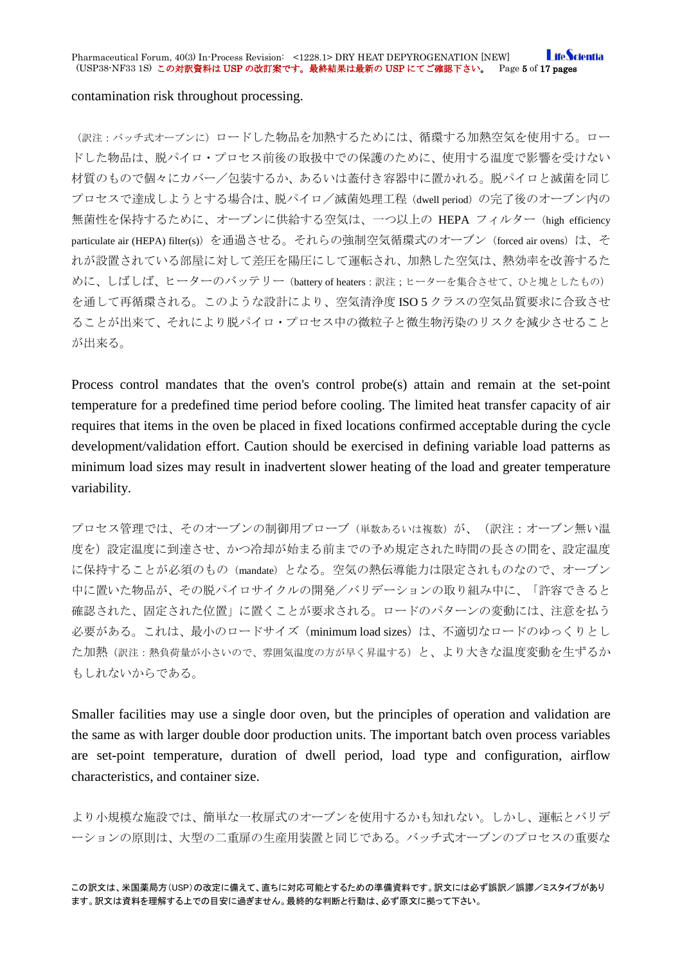**I** ifeScientia Pharmaceutical Forum, 40(3) In-Process Revision: <1228.1> DRY HEAT DEPYROGENATION [NEW] (USP38-NF33 1S) この対訳資料は USP の改訂案です。最終結果は最新の USP にてご確認下さい。 Page 5 of 17 pages

### contamination risk throughout processing.

(訳注:バッチ式オーブンに)ロードした物品を加熱するためには、循環する加熱空気を使用する。ロー ドした物品は、脱パイロ・プロセス前後の取扱中での保護のために、使用する温度で影響を受けない 材質のもので個々にカバー/包装するか、あるいは蓋付き容器中に置かれる。脱パイロと滅菌を同じ プロセスで達成しようとする場合は、脱パイロ/滅菌処理工程(dwell period)の完了後のオーブン内の 無菌性を保持するために、オーブンに供給する空気は、一つ以上の HEPA フィルター(high efficiency particulate air (HEPA) filter(s)) を通過させる。それらの強制空気循環式のオーブン (forced air ovens) は、そ れが設置されている部屋に対して差圧を陽圧にして運転され、加熱した空気は、熱効率を改善するた めに、しばしば、ヒーターのバッテリー (battery of heaters:訳注;ヒーターを集合させて、ひと塊としたもの) を通して再循環される。このような設計により、空気清浄度 ISO 5 クラスの空気品質要求に合致させ ることが出来て、それにより脱パイロ・プロセス中の微粒子と微生物汚染のリスクを減少させること が出来る。

Process control mandates that the oven's control probe(s) attain and remain at the set-point temperature for a predefined time period before cooling. The limited heat transfer capacity of air requires that items in the oven be placed in fixed locations confirmed acceptable during the cycle development/validation effort. Caution should be exercised in defining variable load patterns as minimum load sizes may result in inadvertent slower heating of the load and greater temperature variability.

プロセス管理では、そのオーブンの制御用プローブ(単数あるいは複数)が、(訳注:オーブン無い温 度を)設定温度に到達させ、かつ冷却が始まる前までの予め規定された時間の長さの間を、設定温度 に保持することが必須のもの(mandate)となる。空気の熱伝導能力は限定されものなので、オーブン 中に置いた物品が、その脱パイロサイクルの開発/バリデーションの取り組み中に、「許容できると 確認された、固定された位置」に置くことが要求される。ロードのパターンの変動には、注意を払う 必要がある。これは、最小のロードサイズ (minimum load sizes) は、不適切なロードのゆっくりとし た加熱(訳注:熱負荷量が小さいので、雰囲気温度の方が早く昇温する)と、より大きな温度変動を生ずるか もしれないからである。

Smaller facilities may use a single door oven, but the principles of operation and validation are the same as with larger double door production units. The important batch oven process variables are set-point temperature, duration of dwell period, load type and configuration, airflow characteristics, and container size.

より小規模な施設では、簡単な一枚扉式のオーブンを使用するかも知れない。しかし、運転とバリデ ーションの原則は、大型の二重扉の生産用装置と同じである。バッチ式オーブンのプロセスの重要な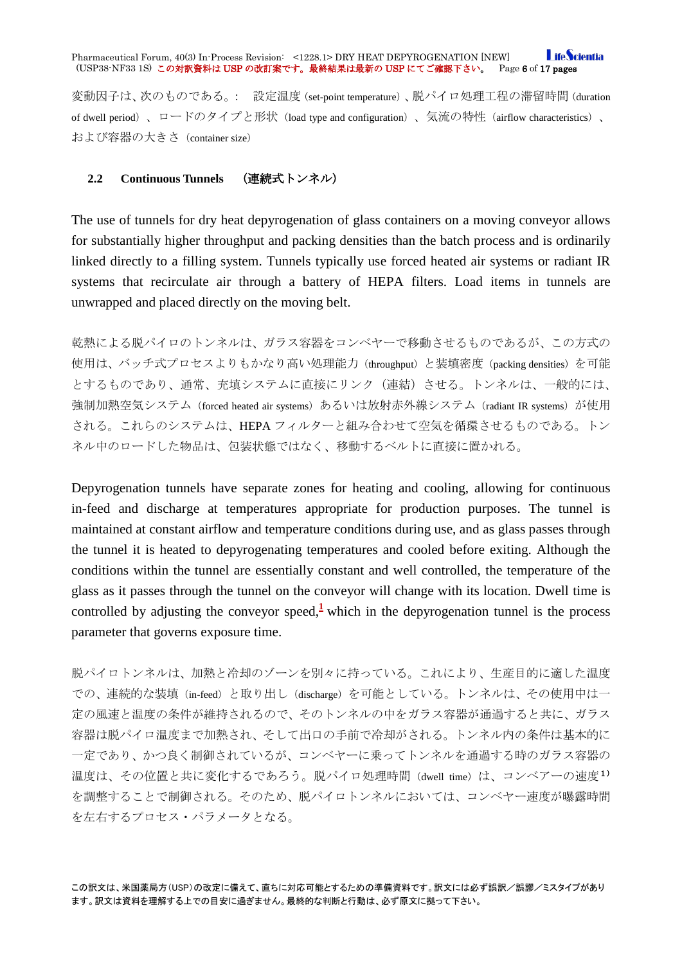**I** ifeScientia Pharmaceutical Forum, 40(3) In-Process Revision: <1228.1> DRY HEAT DEPYROGENATION [NEW]<br>(USP38-NF33 1S)この対訳資料は USP の改訂案です。最終結果は最新の USP にてご確認下さい。 Page 6 of 17 pages (USP38-NF33 1S) この対訳資料は USP の改訂案です。最終結果は最新の USP にてご確認下さい。

変動因子は、次のものである。: 設定温度(set-point temperature)、脱パイロ処理工程の滞留時間(duration of dwell period)、ロードのタイプと形状(load type and configuration)、気流の特性(airflow characteristics)、 および容器の大きさ(container size)

### <span id="page-5-0"></span>**2.2 Continuous Tunnels** (連続式トンネル)

The use of tunnels for dry heat depyrogenation of glass containers on a moving conveyor allows for substantially higher throughput and packing densities than the batch process and is ordinarily linked directly to a filling system. Tunnels typically use forced heated air systems or radiant IR systems that recirculate air through a battery of HEPA filters. Load items in tunnels are unwrapped and placed directly on the moving belt.

乾熱による脱パイロのトンネルは、ガラス容器をコンベヤーで移動させるものであるが、この方式の 使用は、バッチ式プロセスよりもかなり高い処理能力(throughput)と装填密度(packing densities)を可能 とするものであり、通常、充填システムに直接にリンク(連結)させる。トンネルは、一般的には、 強制加熱空気システム (forced heated air systems) あるいは放射赤外線システム (radiant IR systems) が使用 される。これらのシステムは、HEPA フィルターと組み合わせて空気を循環させるものである。トン ネル中のロードした物品は、包装状態ではなく、移動するベルトに直接に置かれる。

Depyrogenation tunnels have separate zones for heating and cooling, allowing for continuous in-feed and discharge at temperatures appropriate for production purposes. The tunnel is maintained at constant airflow and temperature conditions during use, and as glass passes through the tunnel it is heated to depyrogenating temperatures and cooled before exiting. Although the conditions within the tunnel are essentially constant and well controlled, the temperature of the glass as it passes through the tunnel on the conveyor will change with its location. Dwell time is controlled by adjusting the conveyor speed, $\frac{1}{2}$  $\frac{1}{2}$  $\frac{1}{2}$  which in the depyrogenation tunnel is the process parameter that governs exposure time.

脱パイロトンネルは、加熱と冷却のゾーンを別々に持っている。これにより、生産目的に適した温度 での、連続的な装填(in-feed)と取り出し(discharge)を可能としている。トンネルは、その使用中は一 定の風速と温度の条件が維持されるので、そのトンネルの中をガラス容器が通過すると共に、ガラス 容器は脱パイロ温度まで加熱され、そして出口の手前で冷却がされる。トンネル内の条件は基本的に 一定であり、かつ良く制御されているが、コンベヤーに乗ってトンネルを通過する時のガラス容器の 温度は、その位置と共に変化するであろう。脱パイロ処理時間(dwell time)は、コンベアーの速度1) を調整することで制御される。そのため、脱パイロトンネルにおいては、コンベヤー速度が曝露時間 を左右するプロセス・パラメータとなる。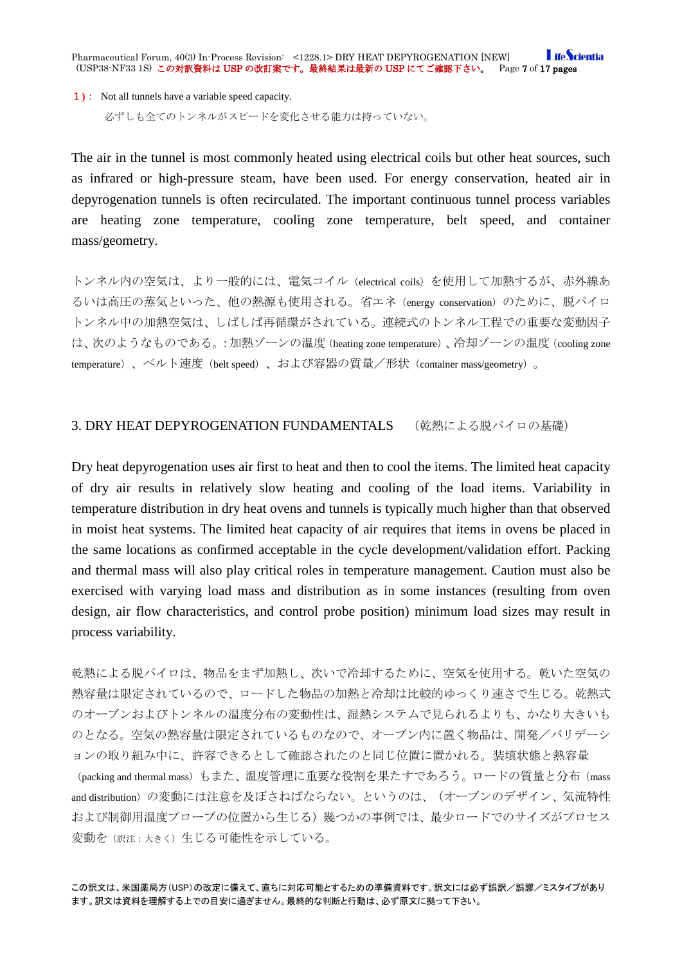**I** ifeScientia Pharmaceutical Forum, 40(3) In-Process Revision: <1228.1> DRY HEAT DEPYROGENATION [NEW] (USP38-NF33 1S) この対訳資料は USP の改訂案です。最終結果は最新の USP にてご確認下さい。 Page 7 of 17 pages

1**)**: Not all tunnels have a variable speed capacity.

必ずしも全てのトンネルがスピードを変化させる能力は持っていない。

The air in the tunnel is most commonly heated using electrical coils but other heat sources, such as infrared or high-pressure steam, have been used. For energy conservation, heated air in depyrogenation tunnels is often recirculated. The important continuous tunnel process variables are heating zone temperature, cooling zone temperature, belt speed, and container mass/geometry.

トンネル内の空気は、より一般的には、電気コイル (electrical coils) を使用して加熱するが、赤外線あ るいは高圧の蒸気といった、他の熱源も使用される。省エネ(energy conservation)のために、脱パイロ トンネル中の加熱空気は、しばしば再循環がされている。連続式のトンネル工程での重要な変動因子 は、次のようなものである。:加熱ゾーンの温度(heating zone temperature)、冷却ゾーンの温度(cooling zone temperature)、ベルト速度(belt speed)、および容器の質量/形状(container mass/geometry)。

### <span id="page-6-0"></span>3. DRY HEAT DEPYROGENATION FUNDAMENTALS (乾熱による脱パイロの基礎)

Dry heat depyrogenation uses air first to heat and then to cool the items. The limited heat capacity of dry air results in relatively slow heating and cooling of the load items. Variability in temperature distribution in dry heat ovens and tunnels is typically much higher than that observed in moist heat systems. The limited heat capacity of air requires that items in ovens be placed in the same locations as confirmed acceptable in the cycle development/validation effort. Packing and thermal mass will also play critical roles in temperature management. Caution must also be exercised with varying load mass and distribution as in some instances (resulting from oven design, air flow characteristics, and control probe position) minimum load sizes may result in process variability.

乾熱による脱パイロは、物品をまず加熱し、次いで冷却するために、空気を使用する。乾いた空気の 熱容量は限定されているので、ロードした物品の加熱と冷却は比較的ゆっくり速さで生じる。乾熱式 のオーブンおよびトンネルの温度分布の変動性は、湿熱システムで見られるよりも、かなり大きいも のとなる。空気の熱容量は限定されているものなので、オーブン内に置く物品は、開発/バリデーシ ョンの取り組み中に、許容できるとして確認されたのと同じ位置に置かれる。装填状態と熱容量

(packing and thermal mass) もまた、温度管理に重要な役割を果たすであろう。ロードの質量と分布(mass and distribution)の変動には注意を及ぼさねばならない。というのは、(オーブンのデザイン、気流特性 および制御用温度プローブの位置から生じる)幾つかの事例では、最少ロードでのサイズがプロセス 変動を(訳注:大きく)生じる可能性を示している。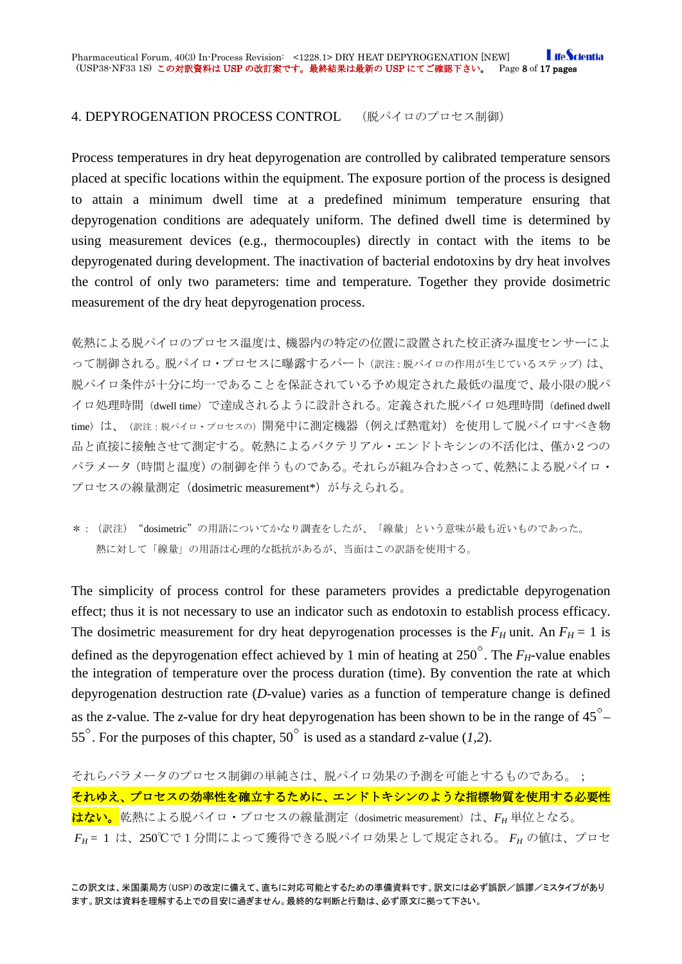**I** ifeScientia Pharmaceutical Forum, 40(3) In-Process Revision: <1228.1> DRY HEAT DEPYROGENATION [NEW] (USP38-NF33 1S) この対訳資料は USP の改訂案です。最終結果は最新の USP にてご確認下さい。 Page 8 of 17 pages

### <span id="page-7-0"></span>4. DEPYROGENATION PROCESS CONTROL (脱パイロのプロセス制御)

Process temperatures in dry heat depyrogenation are controlled by calibrated temperature sensors placed at specific locations within the equipment. The exposure portion of the process is designed to attain a minimum dwell time at a predefined minimum temperature ensuring that depyrogenation conditions are adequately uniform. The defined dwell time is determined by using measurement devices (e.g., thermocouples) directly in contact with the items to be depyrogenated during development. The inactivation of bacterial endotoxins by dry heat involves the control of only two parameters: time and temperature. Together they provide dosimetric measurement of the dry heat depyrogenation process.

乾熱による脱パイロのプロセス温度は、機器内の特定の位置に設置された校正済み温度センサーによ って制御される。脱パイロ・プロセスに曝露するパート(訳注:脱パイロの作用が生じているステップ)は、 脱パイロ条件が十分に均一であることを保証されている予め規定された最低の温度で、最小限の脱パ イロ処理時間(dwell time)で達成されるように設計される。定義された脱パイロ処理時間(defined dwell time)は、(訳注:脱パイロ・プロセスの)開発中に測定機器(例えば熱電対)を使用して脱パイロすべき物 品と直接に接触させて測定する。乾熱によるバクテリアル・エンドトキシンの不活化は、僅か2つの パラメータ(時間と温度)の制御を伴うものである。それらが組み合わさって、乾熱による脱パイロ・ プロセスの線量測定 (dosimetric measurement\*) が与えられる。

\*:(訳注)"dosimetric"の用語についてかなり調査をしたが、「線量」という意味が最も近いものであった。 熱に対して「線量」の用語は心理的な抵抗があるが、当面はこの訳語を使用する。

The simplicity of process control for these parameters provides a predictable depyrogenation effect; thus it is not necessary to use an indicator such as endotoxin to establish process efficacy. The dosimetric measurement for dry heat depyrogenation processes is the  $F_H$  unit. An  $F_H = 1$  is defined as the depyrogenation effect achieved by 1 min of heating at  $250^\circ$ . The  $F_H$ -value enables the integration of temperature over the process duration (time). By convention the rate at which depyrogenation destruction rate (*D*-value) varies as a function of temperature change is defined as the *z*-value. The *z*-value for dry heat depyrogenation has been shown to be in the range of 45 – 55<sup> $\degree$ </sup>. For the purposes of this chapter, 50 $\degree$  is used as a standard *z*-value (1,2).

それらパラメータのプロセス制御の単純さは、脱パイロ効果の予測を可能とするものである。; それゆえ、プロセスの効率性を確立するために、エンドトキシンのような指標物質を使用する必要性 <mark>はない。</mark>乾熱による脱パイロ・プロセスの線量測定 (dosimetric measurement) は、F<sub>H</sub> 単位となる。 *FH* = 1 は、250℃で1分間によって獲得できる脱パイロ効果として規定される。 *FH* の値は、プロセ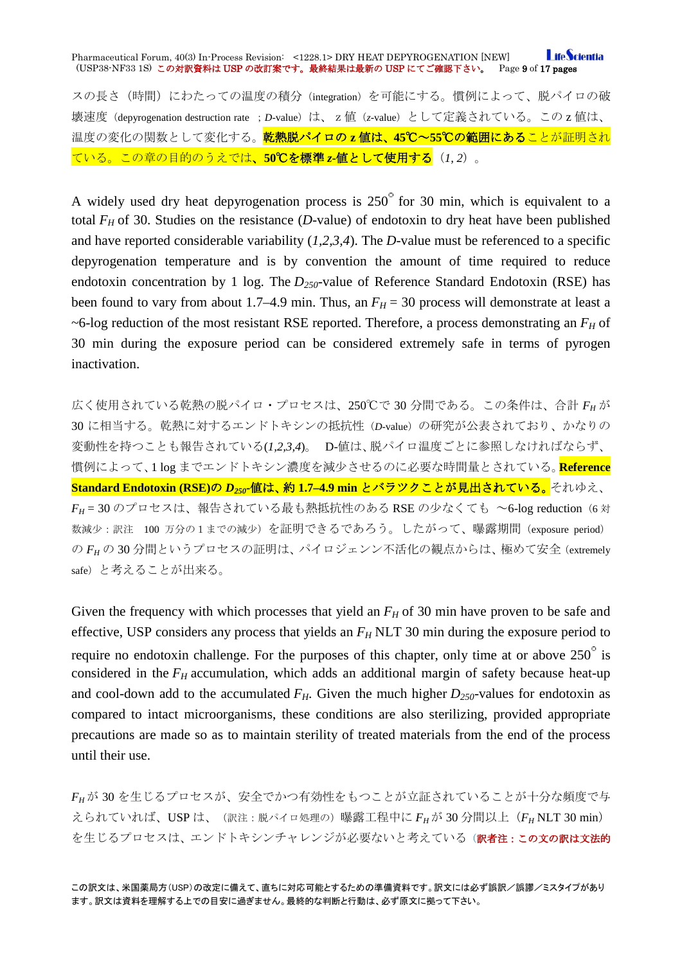#### **LifeScientia** Pharmaceutical Forum, 40(3) In-Process Revision: <1228.1> DRY HEAT DEPYROGENATION [NEW] (USP38-NF33 1S) この対訳資料は USP の改訂案です。最終結果は最新の USP にてご確認下さい。 Page 9 of 17 pages

スの長さ(時間)にわたっての温度の積分(integration)を可能にする。慣例によって、脱パイロの破 壊速度(depyrogenation destruction rate ;*D*-value)は、z値(*z*-value)として定義されている。この z 値は、 温度の変化の関数として変化する。乾熱脱パイロの **z** 値は、**45**℃~**55**℃の範囲にあることが証明され ている。この章の目的のうえでは、**50**℃を標準 *z***-**値として使用する(*1, 2*)。

A widely used dry heat depyrogenation process is  $250^{\circ}$  for 30 min, which is equivalent to a total  $F_H$  of 30. Studies on the resistance (*D*-value) of endotoxin to dry heat have been published and have reported considerable variability (*1,2,3,4*). The *D*-value must be referenced to a specific depyrogenation temperature and is by convention the amount of time required to reduce endotoxin concentration by 1 log. The  $D_{250}$ -value of Reference Standard Endotoxin (RSE) has been found to vary from about 1.7–4.9 min. Thus, an  $F_H = 30$  process will demonstrate at least a  $\sim$ 6-log reduction of the most resistant RSE reported. Therefore, a process demonstrating an  $F_H$  of 30 min during the exposure period can be considered extremely safe in terms of pyrogen inactivation.

広く使用されている乾熱の脱パイロ・プロセスは、250℃で 30 分間である。この条件は、合計 *FH* が 30 に相当する。乾熱に対するエンドトキシンの抵抗性(*D*-value)の研究が公表されており、かなりの 変動性を持つことも報告されている(*1,2,3,4*)。 D-値は、脱パイロ温度ごとに参照しなければならず、 慣例によって、1 log までエンドトキシン濃度を減少させるのに必要な時間量とされている。**Reference Standard Endotoxin (RSE)の D250-値は、約 1.7-4.9 min とバラツクことが見出されている。</u>それゆえ、**  $F_H$  = 30 のプロセスは、報告されている最も熱抵抗性のある RSE の少なくても ~6-log reduction (6 対 数減少:訳注 100 万分の1までの減少)を証明できるであろう。したがって、曝露期間(exposure period) の *FH* の 30 分間というプロセスの証明は、パイロジェンン不活化の観点からは、極めて安全(extremely safe)と考えることが出来る。

Given the frequency with which processes that yield an  $F_H$  of 30 min have proven to be safe and effective, USP considers any process that yields an *FH* NLT 30 min during the exposure period to require no endotoxin challenge. For the purposes of this chapter, only time at or above  $250^\circ$  is considered in the  $F_H$  accumulation, which adds an additional margin of safety because heat-up and cool-down add to the accumulated  $F_H$ . Given the much higher  $D_{250}$ -values for endotoxin as compared to intact microorganisms, these conditions are also sterilizing, provided appropriate precautions are made so as to maintain sterility of treated materials from the end of the process until their use.

*FH* が 30 を生じるプロセスが、安全でかつ有効性をもつことが立証されていることが十分な頻度で与 えられていれば、USPは、(訳注:脱パイロ処理の)曝露工程中に  $F_H$ が 30 分間以上( $F_H$  NLT 30 min) を生じるプロセスは、エンドトキシンチャレンジが必要ないと考えている(訳者注:この文の訳は文法的

この訳文は、米国薬局方(USP)の改定に備えて、直ちに対応可能とするための準備資料です。訳文には必ず誤訳/誤謬/ミスタイプがあり ます。訳文は資料を理解する上での目安に過ぎません。最終的な判断と行動は、必ず原文に拠って下さい。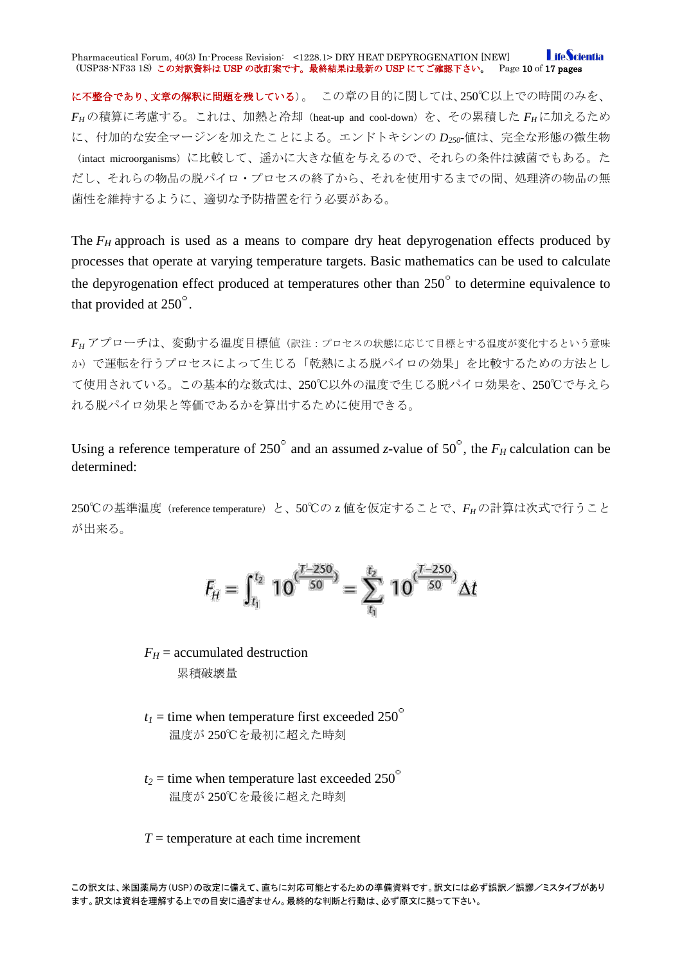**I** ifeScientia Pharmaceutical Forum, 40(3) In-Process Revision: <1228.1> DRY HEAT DEPYROGENATION [NEW] (USP38-NF33 1S) この対訳資料は USP の改訂案です。最終結果は最新の USP にてご確認下さい。 Page 10 of 17 pages

に不整合であり、文章の解釈に問題を残している)。この章の目的に関しては、250℃以上での時間のみを、 *FH* の積算に考慮する。これは、加熱と冷却(heat-up and cool-down)を、その累積した *FH*に加えるため に、付加的な安全マージンを加えたことによる。エンドトキシンの *D250*-値は、完全な形態の微生物 (intact microorganisms)に比較して、遥かに大きな値を与えるので、それらの条件は滅菌でもある。た だし、それらの物品の脱パイロ・プロセスの終了から、それを使用するまでの間、処理済の物品の無 菌性を維持するように、適切な予防措置を行う必要がある。

The  $F_H$  approach is used as a means to compare dry heat depyrogenation effects produced by processes that operate at varying temperature targets. Basic mathematics can be used to calculate the depyrogenation effect produced at temperatures other than  $250^\circ$  to determine equivalence to that provided at  $250^\circ$ .

*FH* アプローチは、変動する温度目標値(訳注:プロセスの状態に応じて目標とする温度が変化するという意味 か)で運転を行うプロセスによって生じる「乾熱による脱パイロの効果」を比較するための方法とし て使用されている。この基本的な数式は、250℃以外の温度で生じる脱パイロ効果を、250℃で与えら れる脱パイロ効果と等価であるかを算出するために使用できる。

Using a reference temperature of 250 $^{\circ}$  and an assumed *z*-value of 50 $^{\circ}$ , the  $F_H$  calculation can be determined:

250℃の基準温度 (reference temperature) と、50℃の z 値を仮定することで、FHの計算は次式で行うこと が出来る。

$$
F_{tt}=\int_{t_1}^{t_2} \; 10^{\frac{(T-250)}{50}}=\sum_{t_1}^{t_2} \; 10^{\frac{(T-250)}{50}}\Delta t
$$

 $F_H$  = accumulated destruction 累積破壊量

- $t_1$  = time when temperature first exceeded 250<sup>°</sup> 温度が 250℃を最初に超えた時刻
- $t_2$  = time when temperature last exceeded 250<sup>°</sup> 温度が 250℃を最後に超えた時刻

*T* = temperature at each time increment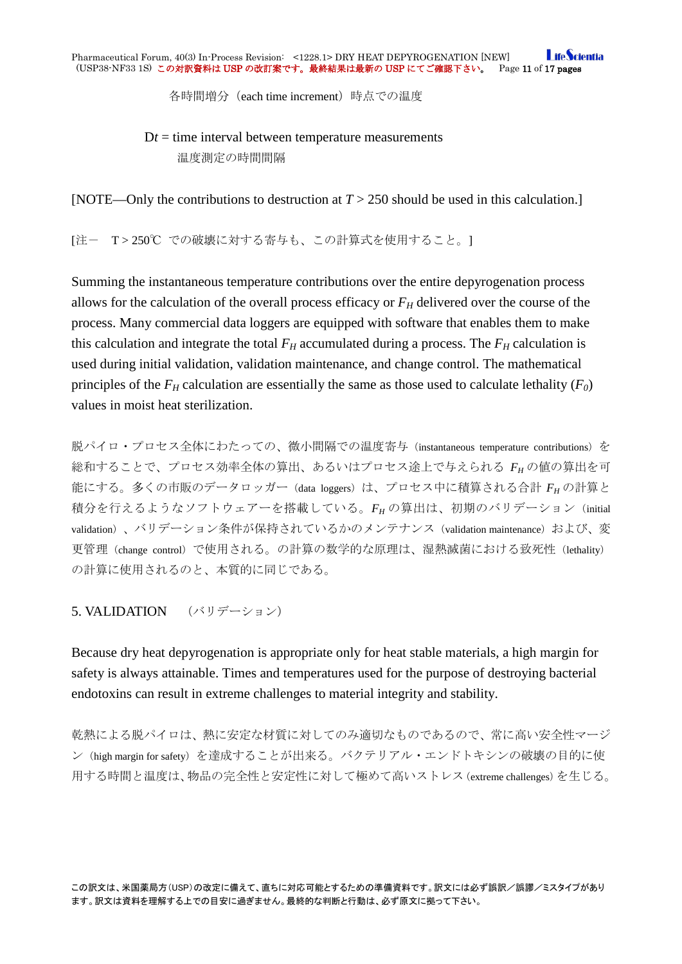各時間増分 (each time increment) 時点での温度

 $Dt =$  time interval between temperature measurements 温度測定の時間間隔

[NOTE—Only the contributions to destruction at *T* > 250 should be used in this calculation.]

[注- T > 250℃ での破壊に対する寄与も、この計算式を使用すること。]

Summing the instantaneous temperature contributions over the entire depyrogenation process allows for the calculation of the overall process efficacy or  $F_H$  delivered over the course of the process. Many commercial data loggers are equipped with software that enables them to make this calculation and integrate the total  $F_H$  accumulated during a process. The  $F_H$  calculation is used during initial validation, validation maintenance, and change control. The mathematical principles of the  $F_H$  calculation are essentially the same as those used to calculate lethality  $(F_0)$ values in moist heat sterilization.

脱パイロ・プロセス全体にわたっての、微小間隔での温度寄与(instantaneous temperature contributions)を 総和することで、プロセス効率全体の算出、あるいはプロセス途上で与えられる *FH* の値の算出を可 能にする。多くの市販のデータロッガー (data loggers) は、プロセス中に積算される合計  $F_H$ の計算と 積分を行えるようなソフトウェアーを搭載している。*FH* の算出は、初期のバリデーション(initial validation)、バリデーション条件が保持されているかのメンテナンス (validation maintenance) および、変 更管理(change control)で使用される。の計算の数学的な原理は、湿熱滅菌における致死性(lethality) の計算に使用されるのと、本質的に同じである。

<span id="page-10-0"></span>5. VALIDATION (バリデーション)

Because dry heat depyrogenation is appropriate only for heat stable materials, a high margin for safety is always attainable. Times and temperatures used for the purpose of destroying bacterial endotoxins can result in extreme challenges to material integrity and stability.

乾熱による脱パイロは、熱に安定な材質に対してのみ適切なものであるので、常に高い安全性マージ ン(high margin for safety)を達成することが出来る。バクテリアル・エンドトキシンの破壊の目的に使 用する時間と温度は、物品の完全性と安定性に対して極めて高いストレス(extreme challenges)を生じる。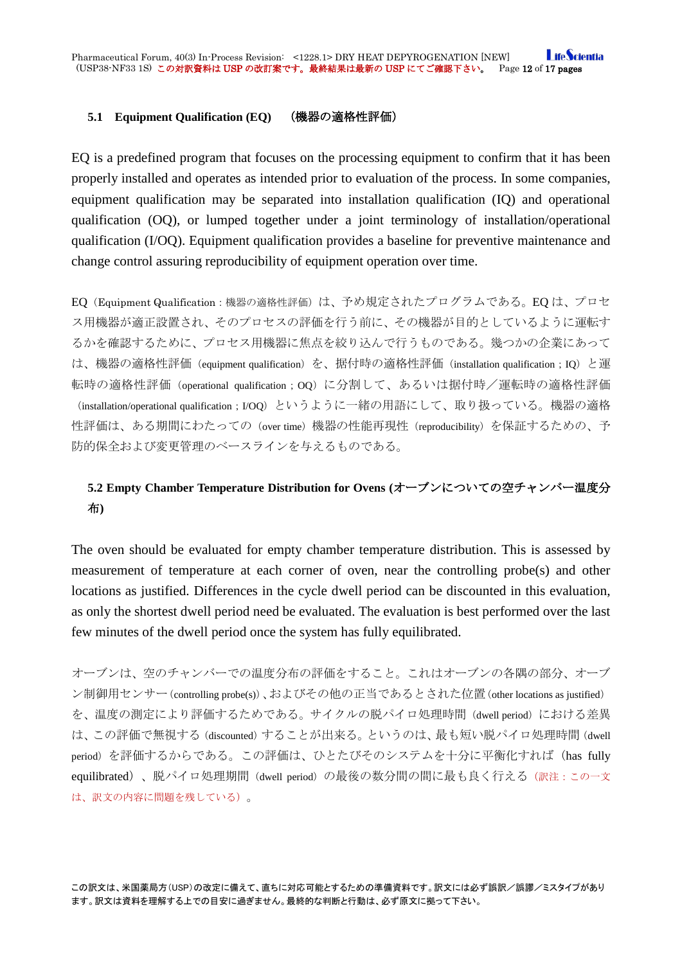### <span id="page-11-0"></span>**5.1 Equipment Qualification (EQ)** (機器の適格性評価)

EQ is a predefined program that focuses on the processing equipment to confirm that it has been properly installed and operates as intended prior to evaluation of the process. In some companies, equipment qualification may be separated into installation qualification (IQ) and operational qualification (OQ), or lumped together under a joint terminology of installation/operational qualification (I/OQ). Equipment qualification provides a baseline for preventive maintenance and change control assuring reproducibility of equipment operation over time.

EQ (Equipment Qualification:機器の適格性評価)は、予め規定されたプログラムである。EQ は、プロセ ス用機器が適正設置され、そのプロセスの評価を行う前に、その機器が目的としているように運転す るかを確認するために、プロセス用機器に焦点を絞り込んで行うものである。幾つかの企業にあって は、機器の適格性評価 (equipment qualification) を、据付時の適格性評価 (installation qualification;IQ) と運 転時の適格性評価 (operational qualification;OQ)に分割して、あるいは据付時/運転時の適格性評価 (installation/operational qualification;I/OQ)というように一緒の用語にして、取り扱っている。機器の適格 性評価は、ある期間にわたっての(over time)機器の性能再現性(reproducibility)を保証するための、予 防的保全および変更管理のベースラインを与えるものである。

# <span id="page-11-1"></span>**5.2 Empty Chamber Temperature Distribution for Ovens (**オーブンについての空チャンバー温度分 布**)**

The oven should be evaluated for empty chamber temperature distribution. This is assessed by measurement of temperature at each corner of oven, near the controlling probe(s) and other locations as justified. Differences in the cycle dwell period can be discounted in this evaluation, as only the shortest dwell period need be evaluated. The evaluation is best performed over the last few minutes of the dwell period once the system has fully equilibrated.

オーブンは、空のチャンバーでの温度分布の評価をすること。これはオーブンの各隅の部分、オーブ ン制御用センサー(controlling probe(s))、およびその他の正当であるとされた位置(other locations as justified) を、温度の測定により評価するためである。サイクルの脱パイロ処理時間(dwell period)における差異 は、この評価で無視する(discounted)することが出来る。というのは、最も短い脱パイロ処理時間(dwell period)を評価するからである。この評価は、ひとたびそのシステムを十分に平衡化すれば (has fully equilibrated)、脱パイロ処理期間(dwell period)の最後の数分間の間に最も良く行える(訳注:この一文 は、訳文の内容に問題を残している)。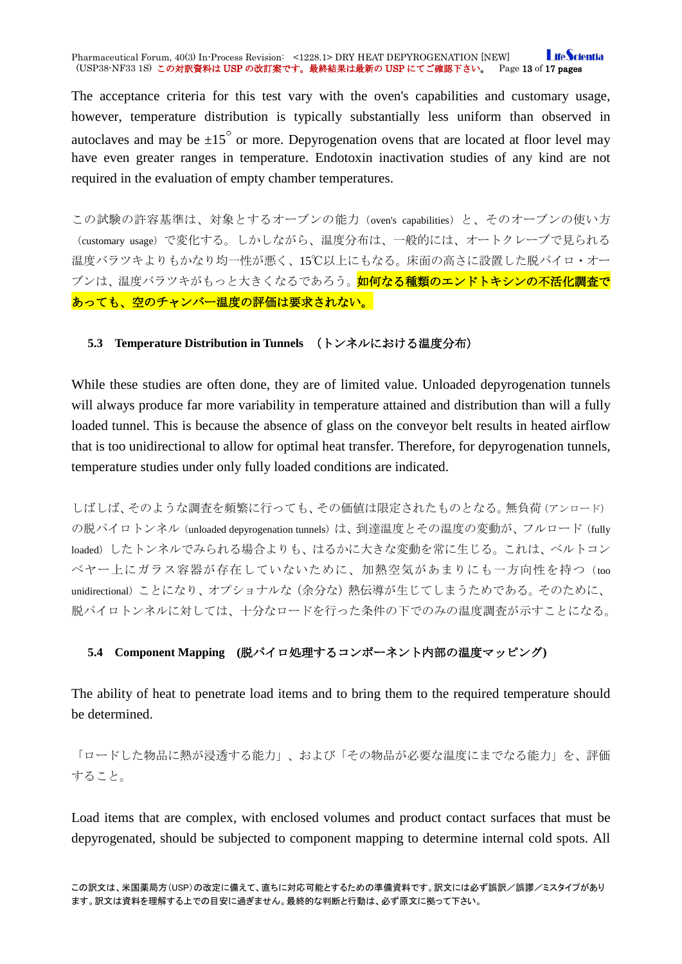#### **I** ifeScientia Pharmaceutical Forum, 40(3) In-Process Revision: <1228.1> DRY HEAT DEPYROGENATION [NEW]<br>(USP38-NF33 1S)この対訳資料は USP の改訂案です。最終結果は最新の USP にてご確認下さい。 Page 13 of 17 pages (USP38-NF33 1S) この対訳資料は USP の改訂案です。最終結果は最新の USP にてご確認下さい。

The acceptance criteria for this test vary with the oven's capabilities and customary usage, however, temperature distribution is typically substantially less uniform than observed in autoclaves and may be  $\pm 15^{\circ}$  or more. Depyrogenation ovens that are located at floor level may have even greater ranges in temperature. Endotoxin inactivation studies of any kind are not required in the evaluation of empty chamber temperatures.

この試験の許容基準は、対象とするオーブンの能力(oven's capabilities)と、そのオーブンの使い方 (customary usage)で変化する。しかしながら、温度分布は、一般的には、オートクレーブで見られる 温度バラツキよりもかなり均一性が悪く、15℃以上にもなる。床面の高さに設置した脱パイロ・オー ブンは、温度バラツキがもっと大きくなるであろう。<mark>如何なる種類のエンドトキシンの不活化調査で</mark> あっても、空のチャンバー温度の評価は要求されない。

### <span id="page-12-0"></span>**5.3 Temperature Distribution in Tunnels** (トンネルにおける温度分布)

While these studies are often done, they are of limited value. Unloaded depyrogenation tunnels will always produce far more variability in temperature attained and distribution than will a fully loaded tunnel. This is because the absence of glass on the conveyor belt results in heated airflow that is too unidirectional to allow for optimal heat transfer. Therefore, for depyrogenation tunnels, temperature studies under only fully loaded conditions are indicated.

しばしば、そのような調査を頻繁に行っても、その価値は限定されたものとなる。無負荷(アンロード) の脱パイロトンネル (unloaded depyrogenation tunnels) は、到達温度とその温度の変動が、フルロード (fully loaded) したトンネルでみられる場合よりも、はるかに大きな変動を常に生じる。これは、ベルトコン ベヤー上にガラス容器が存在していないために、加熱空気があまりにも一方向性を持つ(too unidirectional)ことになり、オプショナルな(余分な)熱伝導が生じてしまうためである。そのために、 脱パイロトンネルに対しては、十分なロードを行った条件の下でのみの温度調査が示すことになる。

### <span id="page-12-1"></span>**5.4 Component Mapping (**脱パイロ処理するコンポーネント内部の温度マッピング**)**

The ability of heat to penetrate load items and to bring them to the required temperature should be determined.

「ロードした物品に熱が浸透する能力」、および「その物品が必要な温度にまでなる能力」を、評価 すること。

Load items that are complex, with enclosed volumes and product contact surfaces that must be depyrogenated, should be subjected to component mapping to determine internal cold spots. All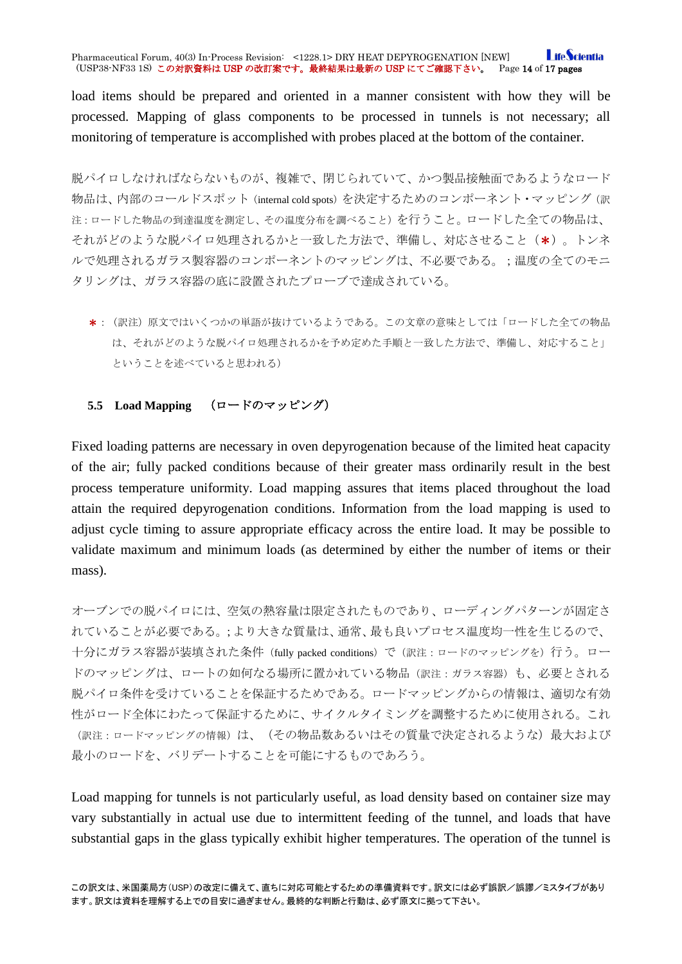#### **I** ifeScientia Pharmaceutical Forum, 40(3) In-Process Revision: <1228.1> DRY HEAT DEPYROGENATION [NEW]<br>(USP38-NF33 1S)この対訳資料は USP の改訂案です。最終結果は最新の USP にてご確認下さい。 Page 14 of 17 pages (USP38-NF33 1S) この対訳資料は USP の改訂案です。最終結果は最新の USP にてご確認下さい。

load items should be prepared and oriented in a manner consistent with how they will be processed. Mapping of glass components to be processed in tunnels is not necessary; all monitoring of temperature is accomplished with probes placed at the bottom of the container.

脱パイロしなければならないものが、複雑で、閉じられていて、かつ製品接触面であるようなロード 物品は、内部のコールドスポット(internal cold spots)を決定するためのコンポーネント・マッピング(訳 注:ロードした物品の到達温度を測定し、その温度分布を調べること)を行うこと。ロードした全ての物品は、 それがどのような脱パイロ処理されるかと一致した方法で、準備し、対応させること(\*)。トンネ ルで処理されるガラス製容器のコンポーネントのマッピングは、不必要である。;温度の全てのモニ タリングは、ガラス容器の底に設置されたプローブで達成されている。

\*:(訳注)原文ではいくつかの単語が抜けているようである。この文章の意味としては「ロードした全ての物品 は、それがどのような脱パイロ処理されるかを予め定めた手順と一致した方法で、準備し、対応すること」 ということを述べていると思われる)

## <span id="page-13-0"></span>**5.5 Load Mapping** (ロードのマッピング)

Fixed loading patterns are necessary in oven depyrogenation because of the limited heat capacity of the air; fully packed conditions because of their greater mass ordinarily result in the best process temperature uniformity. Load mapping assures that items placed throughout the load attain the required depyrogenation conditions. Information from the load mapping is used to adjust cycle timing to assure appropriate efficacy across the entire load. It may be possible to validate maximum and minimum loads (as determined by either the number of items or their mass).

オーブンでの脱パイロには、空気の熱容量は限定されたものであり、ローディングパターンが固定さ れていることが必要である。;より大きな質量は、通常、最も良いプロセス温度均一性を生じるので、 十分にガラス容器が装填された条件(fully packed conditions)で(訳注:ロードのマッピングを)行う。ロー ドのマッピングは、ロートの如何なる場所に置かれている物品(訳注:ガラス容器)も、必要とされる 脱パイロ条件を受けていることを保証するためである。ロードマッピングからの情報は、適切な有効 性がロード全体にわたって保証するために、サイクルタイミングを調整するために使用される。これ (訳注:ロードマッピングの情報)は、(その物品数あるいはその質量で決定されるような)最大および 最小のロードを、バリデートすることを可能にするものであろう。

Load mapping for tunnels is not particularly useful, as load density based on container size may vary substantially in actual use due to intermittent feeding of the tunnel, and loads that have substantial gaps in the glass typically exhibit higher temperatures. The operation of the tunnel is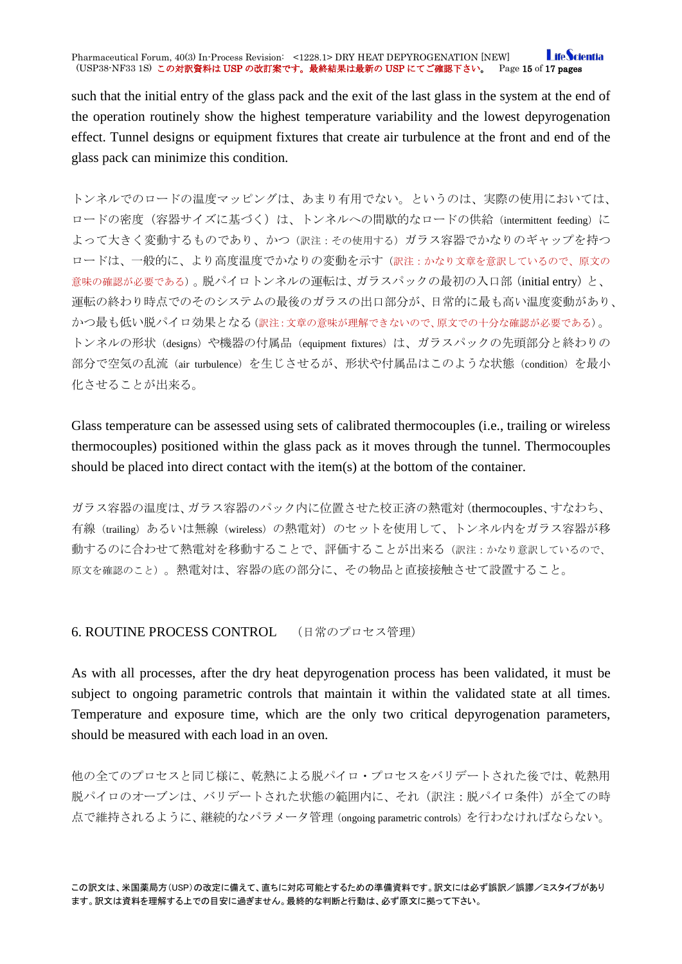#### **I** ifeScientia Pharmaceutical Forum, 40(3) In-Process Revision: <1228.1> DRY HEAT DEPYROGENATION [NEW]<br>(USP38-NF33 1S)この対訳資料は USP の改訂案です。最終結果は最新の USP にてご確認下さい。 Page 15 of 17 pages (USP38-NF33 1S) この対訳資料は USP の改訂案です。最終結果は最新の USP にてご確認下さい。

such that the initial entry of the glass pack and the exit of the last glass in the system at the end of the operation routinely show the highest temperature variability and the lowest depyrogenation effect. Tunnel designs or equipment fixtures that create air turbulence at the front and end of the glass pack can minimize this condition.

トンネルでのロードの温度マッピングは、あまり有用でない。というのは、実際の使用においては、 ロードの密度(容器サイズに基づく)は、トンネルへの間歇的なロードの供給(intermittent feeding)に よって大きく変動するものであり、かつ(訳注:その使用する)ガラス容器でかなりのギャップを持つ ロードは、一般的に、より高度温度でかなりの変動を示す(訳注:かなり文章を意訳しているので、原文の 意味の確認が必要である)。脱パイロトンネルの運転は、ガラスパックの最初の入口部(initial entry)と、 運転の終わり時点でのそのシステムの最後のガラスの出口部分が、日常的に最も高い温度変動があり、 かつ最も低い脱パイロ効果となる(訳注:文章の意味が理解できないので、原文での十分な確認が必要である)。 トンネルの形状 (designs) や機器の付属品 (equipment fixtures) は、ガラスパックの先頭部分と終わりの 部分で空気の乱流(air turbulence)を生じさせるが、形状や付属品はこのような状態(condition)を最小 化させることが出来る。

Glass temperature can be assessed using sets of calibrated thermocouples (i.e., trailing or wireless thermocouples) positioned within the glass pack as it moves through the tunnel. Thermocouples should be placed into direct contact with the item(s) at the bottom of the container.

ガラス容器の温度は、ガラス容器のパック内に位置させた校正済の熱電対(thermocouples、すなわち、 有線(trailing)あるいは無線(wireless)の熱電対)のセットを使用して、トンネル内をガラス容器が移 動するのに合わせて熱電対を移動することで、評価することが出来る(訳注:かなり意訳しているので、 原文を確認のこと)。熱電対は、容器の底の部分に、その物品と直接接触させて設置すること。

### <span id="page-14-0"></span>6. ROUTINE PROCESS CONTROL (日常のプロセス管理)

As with all processes, after the dry heat depyrogenation process has been validated, it must be subject to ongoing parametric controls that maintain it within the validated state at all times. Temperature and exposure time, which are the only two critical depyrogenation parameters, should be measured with each load in an oven.

他の全てのプロセスと同じ様に、乾熱による脱パイロ・プロセスをバリデートされた後では、乾熱用 脱パイロのオーブンは、バリデートされた状態の範囲内に、それ(訳注:脱パイロ条件)が全ての時 点で維持されるように、継続的なパラメータ管理(ongoing parametric controls)を行わなければならない。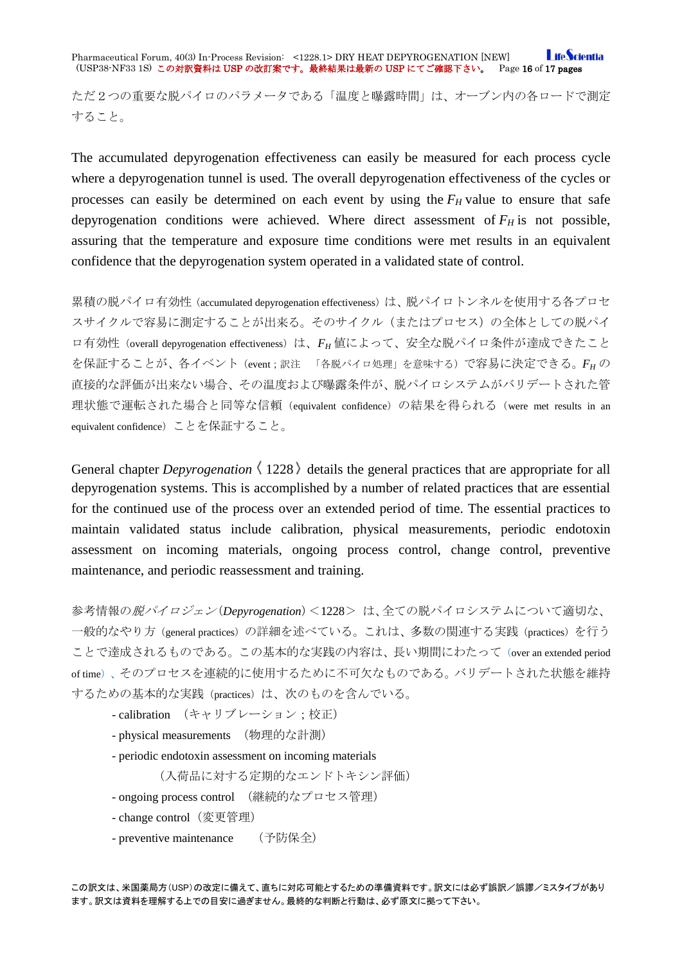**I** ifeScientia Pharmaceutical Forum, 40(3) In-Process Revision: <1228.1> DRY HEAT DEPYROGENATION [NEW] (USP38-NF33 1S) この対訳資料は USP の改訂案です。最終結果は最新の USP にてご確認下さい。 Page 16 of 17 pages

ただ2つの重要な脱パイロのパラメータである「温度と曝露時間」は、オーブン内の各ロードで測定 すること。

The accumulated depyrogenation effectiveness can easily be measured for each process cycle where a depyrogenation tunnel is used. The overall depyrogenation effectiveness of the cycles or processes can easily be determined on each event by using the  $F_H$  value to ensure that safe depyrogenation conditions were achieved. Where direct assessment of  $F_H$  is not possible, assuring that the temperature and exposure time conditions were met results in an equivalent confidence that the depyrogenation system operated in a validated state of control.

累積の脱パイロ有効性(accumulated depyrogenation effectiveness)は、脱パイロトンネルを使用する各プロセ スサイクルで容易に測定することが出来る。そのサイクル(またはプロセス)の全体としての脱パイ ロ有効性 (overall depyrogenation effectiveness)は、FH 値によって、安全な脱パイロ条件が達成できたこと を保証することが、各イベント(event;訳注 「各脱パイロ処理」を意味する)で容易に決定できる。*FH* の 直接的な評価が出来ない場合、その温度および曝露条件が、脱パイロシステムがバリデートされた管 理状態で運転された場合と同等な信頼 (equivalent confidence) の結果を得られる (were met results in an equivalent confidence)ことを保証すること。

General chapter *Depyrogenation*  $\langle 1228 \rangle$  details the general practices that are appropriate for all depyrogenation systems. This is accomplished by a number of related practices that are essential for the continued use of the process over an extended period of time. The essential practices to maintain validated status include calibration, physical measurements, periodic endotoxin assessment on incoming materials, ongoing process control, change control, preventive maintenance, and periodic reassessment and training.

参考情報の脱パイロジェン(*Depyrogenation*)<1228> は、全ての脱パイロシステムについて適切な、 一般的なやり方 (general practices)の詳細を述べている。これは、多数の関連する実践(practices)を行う ことで達成されるものである。この基本的な実践の内容は、長い期間にわたって (over an extended period of time)、そのプロセスを連続的に使用するために不可欠なものである。バリデートされた状態を維持 するための基本的な実践(practices)は、次のものを含んでいる。

- calibration (キャリブレーション;校正)
- physical measurements (物理的な計測)
- periodic endotoxin assessment on incoming materials

(入荷品に対する定期的なエンドトキシン評価)

- ongoing process control (継続的なプロセス管理)
- change control (変更管理)
- preventive maintenance (予防保全)